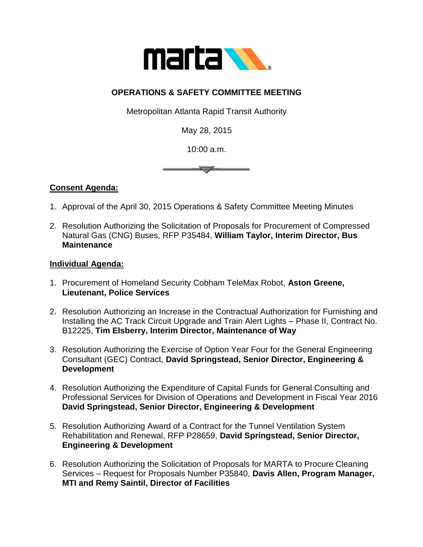

## **OPERATIONS & SAFETY COMMITTEE MEETING**

Metropolitan Atlanta Rapid Transit Authority

May 28, 2015

10:00 a.m.



## **Consent Agenda:**

- 1. Approval of the April 30, 2015 Operations & Safety Committee Meeting Minutes
- 2. Resolution Authorizing the Solicitation of Proposals for Procurement of Compressed Natural Gas (CNG) Buses, RFP P35484, **William Taylor, Interim Director, Bus Maintenance**

## **Individual Agenda:**

- 1. Procurement of Homeland Security Cobham TeleMax Robot, **Aston Greene, Lieutenant, Police Services**
- 2. Resolution Authorizing an Increase in the Contractual Authorization for Furnishing and Installing the AC Track Circuit Upgrade and Train Alert Lights – Phase II, Contract No. B12225, **Tim Elsberry, Interim Director, Maintenance of Way**
- 3. Resolution Authorizing the Exercise of Option Year Four for the General Engineering Consultant (GEC) Contract, **David Springstead, Senior Director, Engineering & Development**
- 4. Resolution Authorizing the Expenditure of Capital Funds for General Consulting and Professional Services for Division of Operations and Development in Fiscal Year 2016 **David Springstead, Senior Director, Engineering & Development**
- 5. Resolution Authorizing Award of a Contract for the Tunnel Ventilation System Rehabilitation and Renewal, RFP P28659, **David Springstead, Senior Director, Engineering & Development**
- 6. Resolution Authorizing the Solicitation of Proposals for MARTA to Procure Cleaning Services – Request for Proposals Number P35840, **Davis Allen, Program Manager, MTI and Remy Saintil, Director of Facilities**